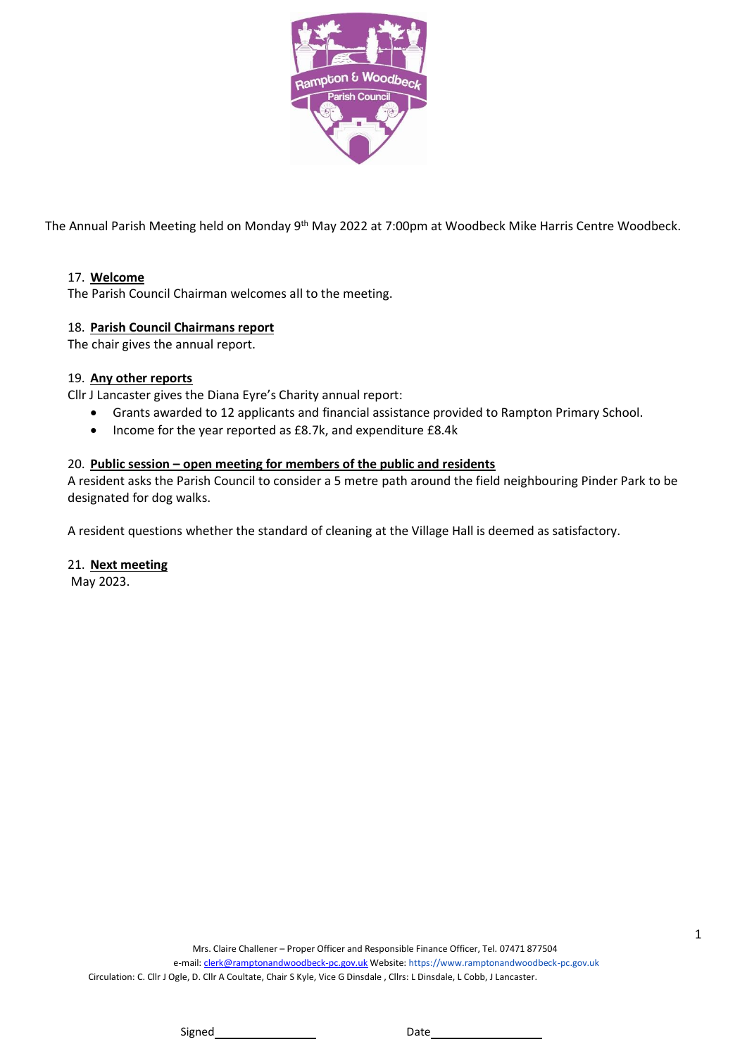

The Annual Parish Meeting held on Monday 9<sup>th</sup> May 2022 at 7:00pm at Woodbeck Mike Harris Centre Woodbeck.

# 17. **Welcome**

The Parish Council Chairman welcomes all to the meeting.

# 18. **Parish Council Chairmans report**

The chair gives the annual report.

# 19. **Any other reports**

Cllr J Lancaster gives the Diana Eyre's Charity annual report:

- Grants awarded to 12 applicants and financial assistance provided to Rampton Primary School.
- Income for the year reported as £8.7k, and expenditure £8.4k

# 20. **Public session – open meeting for members of the public and residents**

A resident asks the Parish Council to consider a 5 metre path around the field neighbouring Pinder Park to be designated for dog walks.

A resident questions whether the standard of cleaning at the Village Hall is deemed as satisfactory.

# 21. **Next meeting**

May 2023.

Signed Date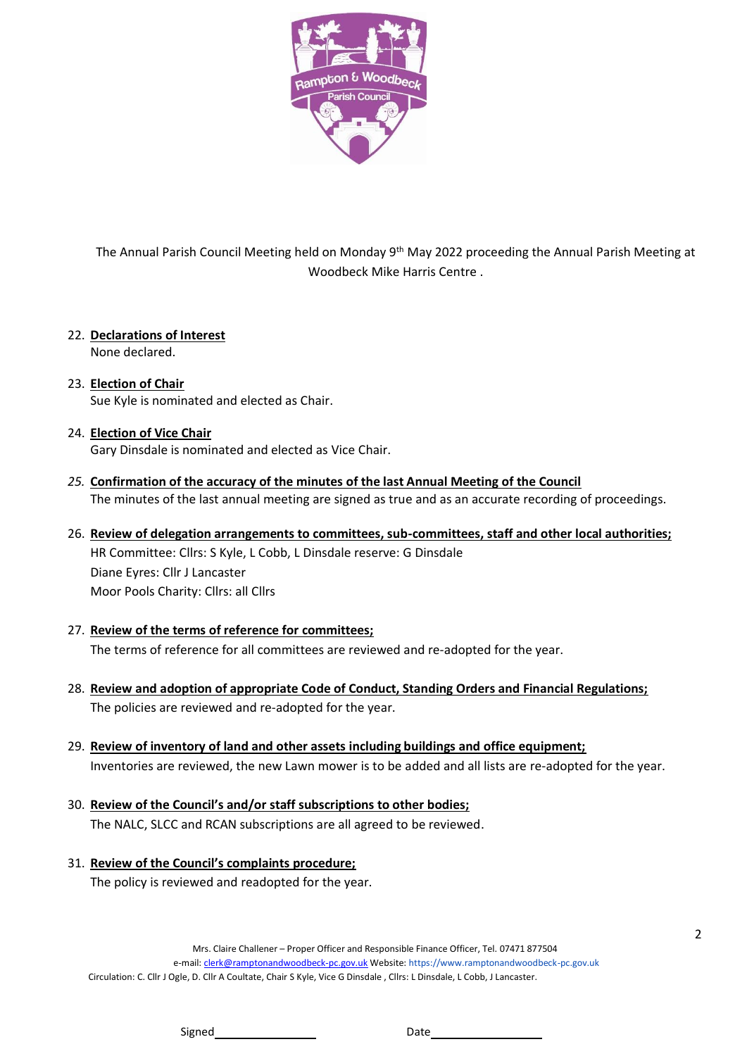

The Annual Parish Council Meeting held on Monday 9<sup>th</sup> May 2022 proceeding the Annual Parish Meeting at Woodbeck Mike Harris Centre .

22. **Declarations of Interest**

None declared.

- 23. **Election of Chair** Sue Kyle is nominated and elected as Chair.
- 24. **Election of Vice Chair**

Gary Dinsdale is nominated and elected as Vice Chair.

- *25.* **Confirmation of the accuracy of the minutes of the last Annual Meeting of the Council** The minutes of the last annual meeting are signed as true and as an accurate recording of proceedings.
- 26. **Review of delegation arrangements to committees, sub-committees, staff and other local authorities;** HR Committee: Cllrs: S Kyle, L Cobb, L Dinsdale reserve: G Dinsdale Diane Eyres: Cllr J Lancaster Moor Pools Charity: Cllrs: all Cllrs
- 27. **Review of the terms of reference for committees;** The terms of reference for all committees are reviewed and re-adopted for the year.
- 28. **Review and adoption of appropriate Code of Conduct, Standing Orders and Financial Regulations;** The policies are reviewed and re-adopted for the year.
- 29. **Review of inventory of land and other assets including buildings and office equipment;** Inventories are reviewed, the new Lawn mower is to be added and all lists are re-adopted for the year.
- 30. **Review of the Council's and/or staff subscriptions to other bodies;** The NALC, SLCC and RCAN subscriptions are all agreed to be reviewed.
- 31. **Review of the Council's complaints procedure;** The policy is reviewed and readopted for the year.

Circulation: C. Cllr J Ogle, D. Cllr A Coultate, Chair S Kyle, Vice G Dinsdale , Cllrs: L Dinsdale, L Cobb, J Lancaster.

2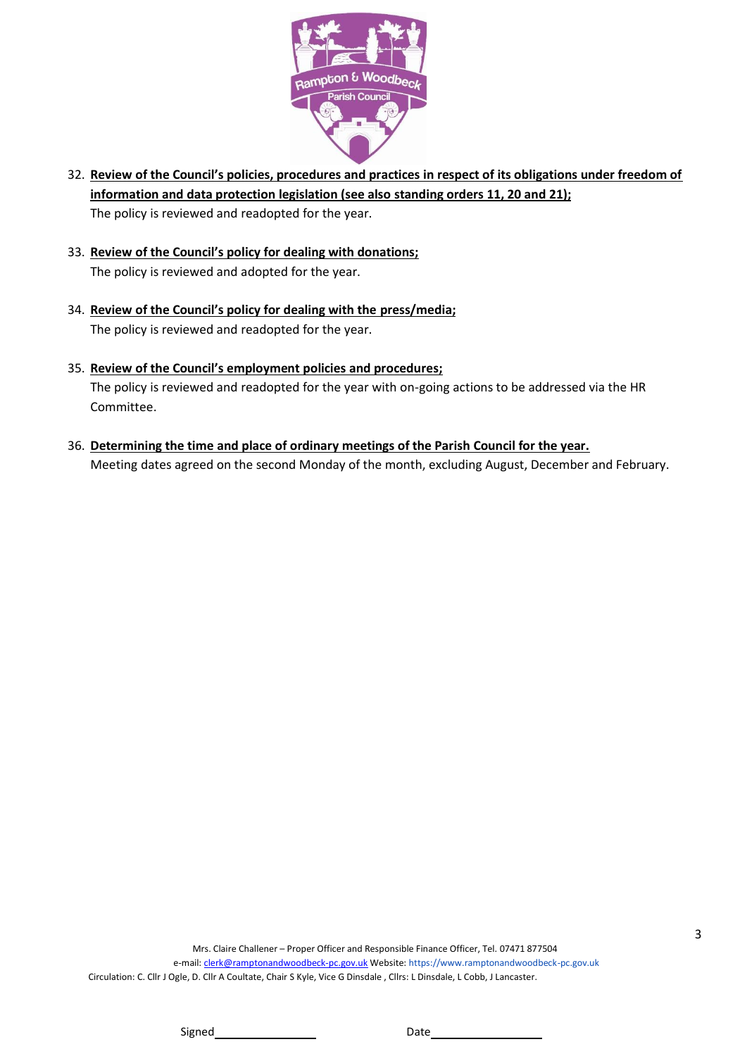

- 32. **Review of the Council's policies, procedures and practices in respect of its obligations under freedom of information and data protection legislation (see also standing orders 11, 20 and 21);** The policy is reviewed and readopted for the year.
- 33. **Review of the Council's policy for dealing with donations;** The policy is reviewed and adopted for the year.
- 34. **Review of the Council's policy for dealing with the press/media;** The policy is reviewed and readopted for the year.
- 35. **Review of the Council's employment policies and procedures;** The policy is reviewed and readopted for the year with on-going actions to be addressed via the HR Committee.
- 36. **Determining the time and place of ordinary meetings of the Parish Council for the year.** Meeting dates agreed on the second Monday of the month, excluding August, December and February.

Signed Date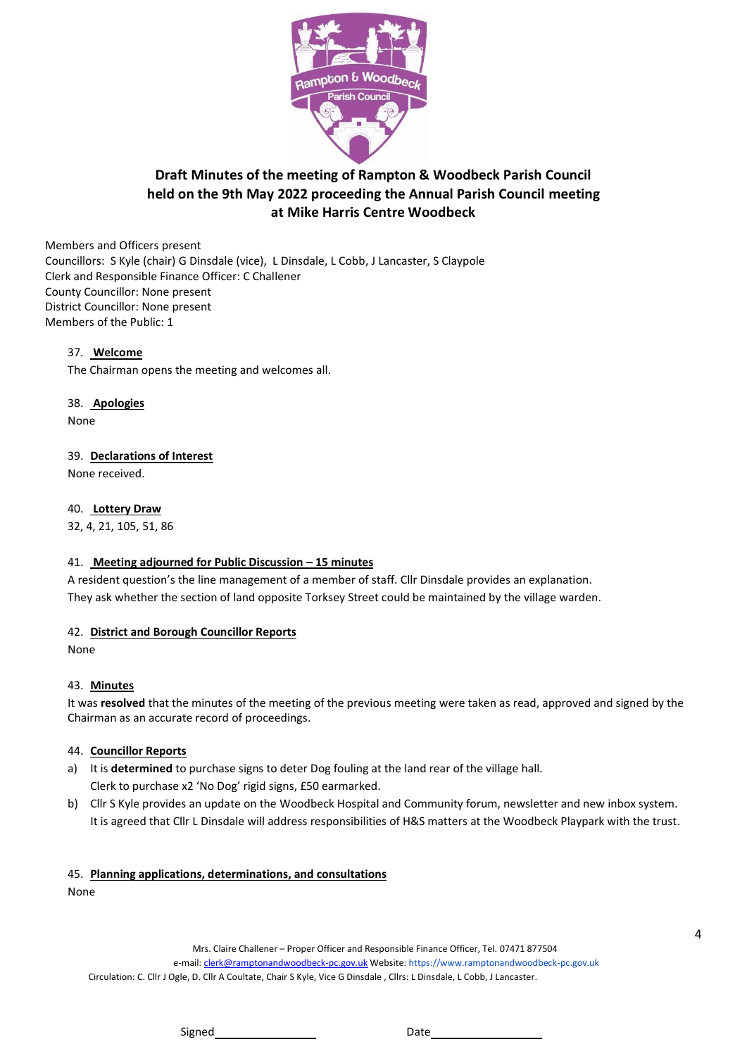

# **Draft Minutes of the meeting of Rampton & Woodbeck Parish Council held on the 9th May 2022 proceeding the Annual Parish Council meeting at Mike Harris Centre Woodbeck**

Members and Officers present Councillors: S Kyle (chair) G Dinsdale (vice), L Dinsdale, L Cobb, J Lancaster, S Claypole Clerk and Responsible Finance Officer: C Challener County Councillor: None present District Councillor: None present Members of the Public: 1

## 37. **Welcome**

The Chairman opens the meeting and welcomes all.

38. **Apologies**

None

#### 39. **Declarations of Interest**

None received.

#### 40. **Lottery Draw**

32, 4, 21, 105, 51, 86

#### 41. **Meeting adjourned for Public Discussion – 15 minutes**

A resident question's the line management of a member of staff. Cllr Dinsdale provides an explanation. They ask whether the section of land opposite Torksey Street could be maintained by the village warden.

#### 42. **District and Borough Councillor Reports**

None

#### 43. **Minutes**

It was **resolved** that the minutes of the meeting of the previous meeting were taken as read, approved and signed by the Chairman as an accurate record of proceedings.

#### 44. **Councillor Reports**

- a) It is **determined** to purchase signs to deter Dog fouling at the land rear of the village hall. Clerk to purchase x2 'No Dog' rigid signs, £50 earmarked.
- b) Cllr S Kyle provides an update on the Woodbeck Hospital and Community forum, newsletter and new inbox system. It is agreed that Cllr L Dinsdale will address responsibilities of H&S matters at the Woodbeck Playpark with the trust.

## 45. **Planning applications, determinations, and consultations**

None

Mrs. Claire Challener – Proper Officer and Responsible Finance Officer, Tel. 07471 877504 e-mail[: clerk@ramptonandwoodbeck-pc.gov.uk](mailto:clerk@ramptonandwoodbeck-pc.gov.uk) Website: https://www.ramptonandwoodbeck-pc.gov.uk

Circulation: C. Cllr J Ogle, D. Cllr A Coultate, Chair S Kyle, Vice G Dinsdale , Cllrs: L Dinsdale, L Cobb, J Lancaster.

4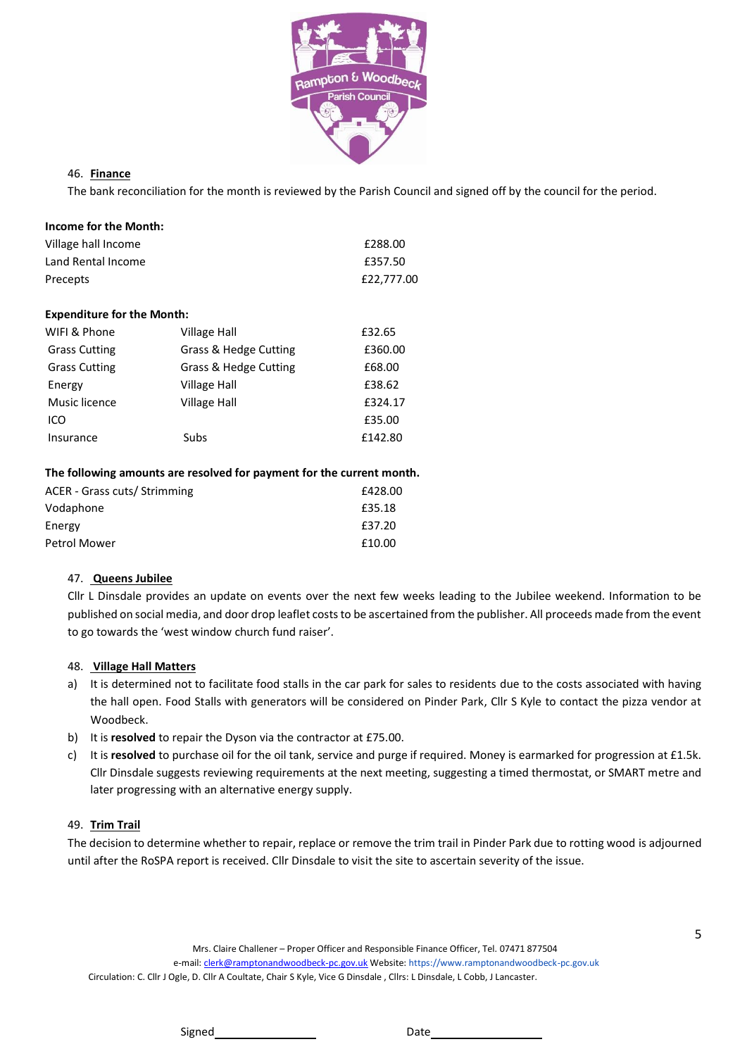

## 46. **Finance**

The bank reconciliation for the month is reviewed by the Parish Council and signed off by the council for the period.

| Income for the Month: |            |
|-----------------------|------------|
| Village hall Income   | £288.00    |
| Land Rental Income    | £357.50    |
| Precepts              | £22,777.00 |

#### **Expenditure for the Month:**

| WIFI & Phone         | Village Hall          | £32.65  |
|----------------------|-----------------------|---------|
| <b>Grass Cutting</b> | Grass & Hedge Cutting | £360.00 |
| <b>Grass Cutting</b> | Grass & Hedge Cutting | £68.00  |
| Energy               | Village Hall          | £38.62  |
| Music licence        | <b>Village Hall</b>   | £324.17 |
| ICO                  |                       | £35.00  |
| Insurance            | Subs                  | £142.80 |
|                      |                       |         |

#### **The following amounts are resolved for payment for the current month.**

| ACER - Grass cuts/ Strimming | £428.00 |
|------------------------------|---------|
| Vodaphone                    | £35.18  |
| Energy                       | £37.20  |
| Petrol Mower                 | £10.00  |
|                              |         |

#### 47. **Queens Jubilee**

Cllr L Dinsdale provides an update on events over the next few weeks leading to the Jubilee weekend. Information to be published on social media, and door drop leaflet costs to be ascertained from the publisher. All proceeds made from the event to go towards the 'west window church fund raiser'.

## 48. **Village Hall Matters**

- a) It is determined not to facilitate food stalls in the car park for sales to residents due to the costs associated with having the hall open. Food Stalls with generators will be considered on Pinder Park, Cllr S Kyle to contact the pizza vendor at Woodbeck.
- b) It is **resolved** to repair the Dyson via the contractor at £75.00.
- c) It is **resolved** to purchase oil for the oil tank, service and purge if required. Money is earmarked for progression at £1.5k. Cllr Dinsdale suggests reviewing requirements at the next meeting, suggesting a timed thermostat, or SMART metre and later progressing with an alternative energy supply.

#### 49. **Trim Trail**

The decision to determine whether to repair, replace or remove the trim trail in Pinder Park due to rotting wood is adjourned until after the RoSPA report is received. Cllr Dinsdale to visit the site to ascertain severity of the issue.

Mrs. Claire Challener – Proper Officer and Responsible Finance Officer, Tel. 07471 877504

e-mail[: clerk@ramptonandwoodbeck-pc.gov.uk](mailto:clerk@ramptonandwoodbeck-pc.gov.uk) Website: https://www.ramptonandwoodbeck-pc.gov.uk Circulation: C. Cllr J Ogle, D. Cllr A Coultate, Chair S Kyle, Vice G Dinsdale , Cllrs: L Dinsdale, L Cobb, J Lancaster.